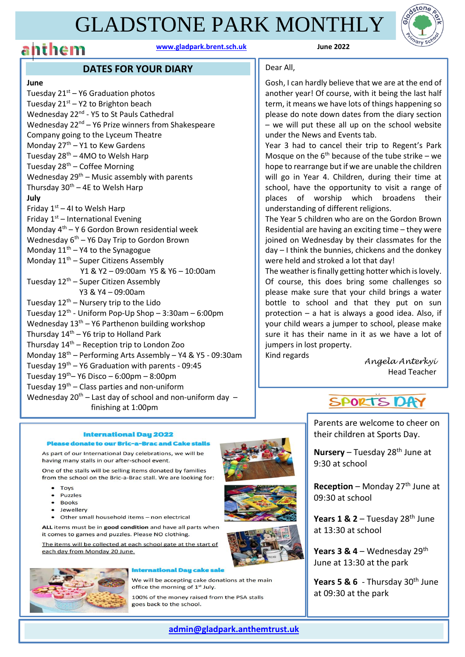### GLADSTONE PARK MONTHLY





### **DATES FOR YOUR DIARY**

#### **June**

Tuesday  $21^{st}$  – Y6 Graduation photos Tuesday  $21^{st}$  – Y2 to Brighton beach Wednesday 22<sup>nd</sup> - Y5 to St Pauls Cathedral Wednesday  $22<sup>nd</sup> - Y6$  Prize winners from Shakespeare Company going to the Lyceum Theatre Monday  $27<sup>th</sup> - Y1$  to Kew Gardens Tuesday  $28<sup>th</sup> - 4MO$  to Welsh Harp Tuesday  $28<sup>th</sup>$  – Coffee Morning Wednesday  $29<sup>th</sup>$  – Music assembly with parents Thursday  $30^{th}$  – 4E to Welsh Harp **July** Friday  $1<sup>st</sup> - 41$  to Welsh Harp Friday  $1<sup>st</sup>$  – International Evening Monday 4th – Y 6 Gordon Brown residential week Wednesday 6<sup>th</sup> – Y6 Day Trip to Gordon Brown Monday  $11<sup>th</sup> - Y4$  to the Synagogue Monday  $11<sup>th</sup>$  – Super Citizens Assembly Y1 & Y2 – 09:00am Y5 & Y6 – 10:00am Tuesday  $12<sup>th</sup>$  – Super Citizen Assembly Y3 & Y4 – 09:00am Tuesday  $12^{th}$  – Nursery trip to the Lido Tuesday 12<sup>th</sup> - Uniform Pop-Up Shop – 3:30am – 6:00pm Wednesday  $13<sup>th</sup> - Y6$  Parthenon building workshop Thursday  $14<sup>th</sup> - Y6$  trip to Holland Park Thursday  $14<sup>th</sup>$  – Reception trip to London Zoo Monday 18th – Performing Arts Assembly – Y4 & Y5 - 09:30am Tuesday  $19^{th}$  – Y6 Graduation with parents - 09:45 Tuesday 19th– Y6 Disco – 6:00pm – 8:00pm Tuesday  $19<sup>th</sup>$  – Class parties and non-uniform Wednesday  $20^{th}$  – Last day of school and non-uniform day – finishing at 1:00pm

### Dear All,

Gosh, I can hardly believe that we are at the end of another year! Of course, with it being the last half term, it means we have lots of things happening so please do note down dates from the diary section – we will put these all up on the school website under the News and Events tab.

Year 3 had to cancel their trip to Regent's Park Mosque on the  $6<sup>th</sup>$  because of the tube strike – we hope to rearrange but if we are unable the children will go in Year 4. Children, during their time at school, have the opportunity to visit a range of places of worship which broadens their understanding of different religions.

The Year 5 children who are on the Gordon Brown Residential are having an exciting time – they were joined on Wednesday by their classmates for the day – I think the bunnies, chickens and the donkey were held and stroked a lot that day!

The weather is finally getting hotter which is lovely. Of course, this does bring some challenges so please make sure that your child brings a water bottle to school and that they put on sun protection – a hat is always a good idea. Also, if your child wears a jumper to school, please make sure it has their name in it as we have a lot of jumpers in lost property.

Kind regards

*Angela Anterkyi*  Head Teacher



Parents are welcome to cheer on their children at Sports Day.

**Nursery** – Tuesday 28<sup>th</sup> June at 9:30 at school

**Reception** – Monday 27<sup>th</sup> June at 09:30 at school

**Years 1 & 2** – Tuesday 28<sup>th</sup> June at 13:30 at school

Years 3 & 4 – Wednesday 29<sup>th</sup> June at 13:30 at the park

Years 5 & 6 - Thursday 30<sup>th</sup> June at 09:30 at the park

#### **International Day 2022 Please donate to our Bric-a-Brac and Cake stalls**

As part of our International Day celebrations, we will be having many stalls in our after-school event.

One of the stalls will be selling items donated by families from the school on the Bric-a-Brac stall. We are looking for:

- Toys
- Puzzles
- $\bullet$  Books
- · Jewellery
- Other small household items non electrical

ALL items must be in good condition and have all parts when

it comes to games and puzzles. Please NO clothing.<br>The items will be collected at each school gate at the start of each day from Monday 20 June.



 $\overline{a}$ 

#### **International Dau cake sale**

We will be accepting cake donations at the main office the morning of 1<sup>st</sup> July.

100% of the money raised from the PSA stalls goes back to the school.





**[admin@gladpark.anthemtrust.uk](mailto:admin@gladpark.anthemtrust.uk)**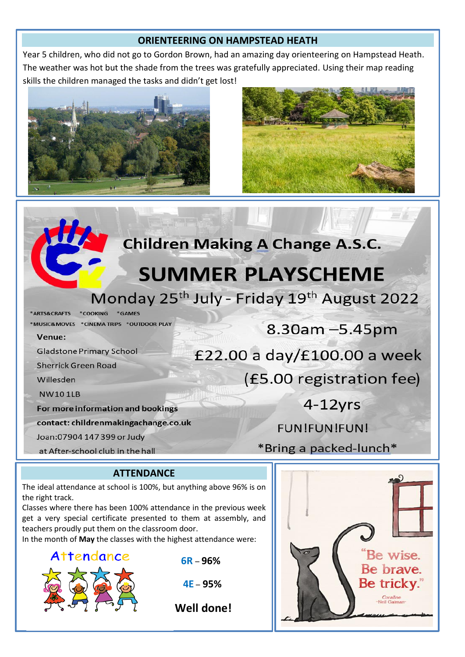### **ORIENTEERING ON HAMPSTEAD HEATH**

Year 5 children, who did not go to Gordon Brown, had an amazing day orienteering on Hampstead Heath. The weather was hot but the shade from the trees was gratefully appreciated. Using their map reading skills the children managed the tasks and didn't get lost!





### **Children Making A Change A.S.C.**

### **SUMMER PLAYSCHEME**

Monday 25<sup>th</sup> July - Friday 19<sup>th</sup> August 2022

\*ARTS&CRAFTS \*COOKING \*GAMES

\*MUSIC&MOVES \*CINEMA TRIPS \*OUTDOOR PLAY

#### Venue:

**Gladstone Primary School** 

**Sherrick Green Road** 

Willesden

**NW101LB** 

For more information and bookings

contact: childrenmakingachange.co.uk

Joan: 07904 147 399 or Judy

at After-school club in the hall

## 8.30am - 5.45pm

£22.00 a day/£100.00 a week

(£5.00 registration fee)

 $4-12$ vrs

**FUN!FUN!FUN!** 

\*Bring a packed-lunch\*

### **ATTENDANCE**

The ideal attendance at school is 100%, but anything above 96% is on the right track.

Classes where there has been 100% attendance in the previous week get a very special certificate presented to them at assembly, and teachers proudly put them on the classroom door.

In the month of **May** the classes with the highest attendance were:



**4E** – **95%**

 **Well done!**